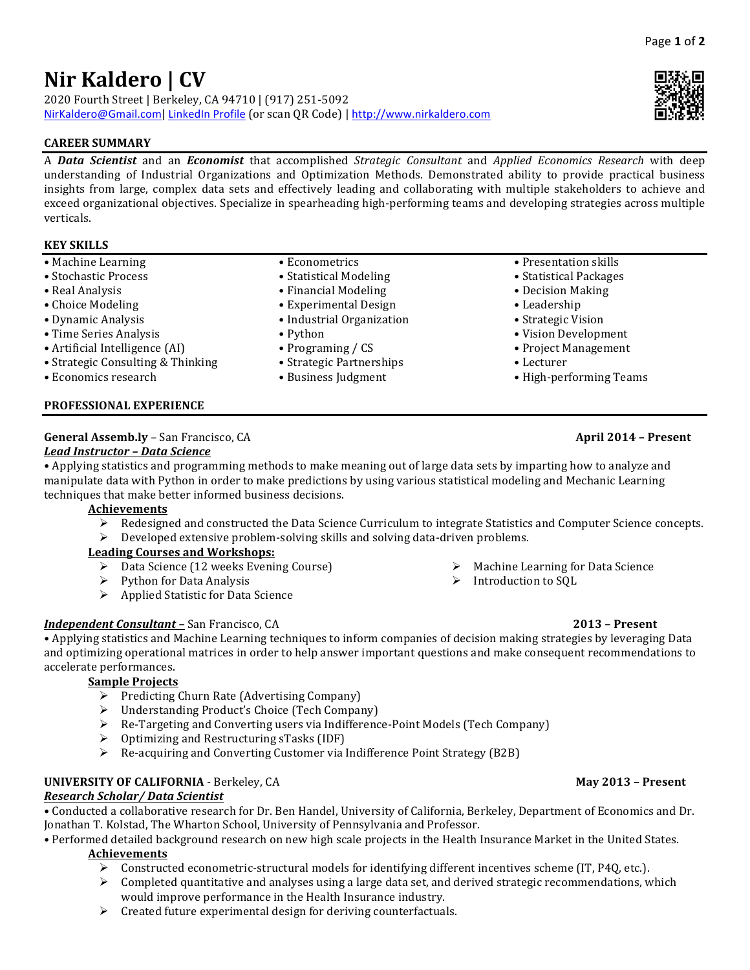# **Nir Kaldero | CV**

2020 Fourth Street | Berkeley, CA 94710 | (917) 251-5092 NirKaldero@Gmail.com| LinkedIn Profile (or scan QR Code) | http://www.nirkaldero.com

# **CAREER SUMMARY**

A *Data Scientist* and an *Economist* that accomplished *Strategic Consultant* and *Applied Economics Research* with deep understanding of Industrial Organizations and Optimization Methods. Demonstrated ability to provide practical business insights from large, complex data sets and effectively leading and collaborating with multiple stakeholders to achieve and exceed organizational objectives. Specialize in spearheading high-performing teams and developing strategies across multiple verticals.

# **KEY SKILLS**

- Machine Learning
- Stochastic Process
- Real Analysis
- Choice Modeling
- Dynamic Analysis
- Time Series Analysis
- Artificial Intelligence (AI)
- Strategic Consulting & Thinking
- Economics research

### **PROFESSIONAL EXPERIENCE**

# **General Assemb.ly** – San Francisco, CA **April 2014 – Present**

# *Lead Instructor – Data Science*

• Applying statistics and programming methods to make meaning out of large data sets by imparting how to analyze and manipulate data with Python in order to make predictions by using various statistical modeling and Mechanic Learning techniques that make better informed business decisions.

### **Achievements**

- Redesigned and constructed the Data Science Curriculum to integrate Statistics and Computer Science concepts.
- Developed extensive problem-solving skills and solving data-driven problems.

• Econometrics • Statistical Modeling • Financial Modeling • Experimental Design • Industrial Organization

• Programing / CS • Strategic Partnerships • Business Judgment

• Python

# **Leading Courses and Workshops:**

- $\triangleright$  Data Science (12 weeks Evening Course)
- $\triangleright$  Python for Data Analysis
- $\triangleright$  Applied Statistic for Data Science

# *Independent Consultant – San Francisco, CA* **2013 – Present 2013** – **Present**

• Applying statistics and Machine Learning techniques to inform companies of decision making strategies by leveraging Data and optimizing operational matrices in order to help answer important questions and make consequent recommendations to accelerate performances.

# **Sample Projects**

- $\triangleright$  Predicting Churn Rate (Advertising Company)
- $\triangleright$  Understanding Product's Choice (Tech Company)
- $\triangleright$  Re-Targeting and Converting users via Indifference-Point Models (Tech Company)
- Optimizing and Restructuring sTasks (IDF)
- $\triangleright$  Re-acquiring and Converting Customer via Indifference Point Strategy (B2B)

# **UNIVERSITY OF CALIFORNIA** - Berkeley, CA **May 2013 – Present**

### *Research Scholar/ Data Scientist*

• Conducted a collaborative research for Dr. Ben Handel, University of California, Berkeley, Department of Economics and Dr. Jonathan T. Kolstad, The Wharton School, University of Pennsylvania and Professor.

• Performed detailed background research on new high scale projects in the Health Insurance Market in the United States.

### **Achievements**

- $\triangleright$  Constructed econometric-structural models for identifying different incentives scheme (IT, P4Q, etc.).
- $\triangleright$  Completed quantitative and analyses using a large data set, and derived strategic recommendations, which would improve performance in the Health Insurance industry.
- $\triangleright$  Created future experimental design for deriving counterfactuals.

- $\triangleright$  Machine Learning for Data Science
- $\triangleright$  Introduction to SQL



- Presentation skills
- Statistical Packages
- Decision Making
- • Leadership
- Strategic Vision
- • Vision Development
- Project Management
- • Lecturer
- • High-performing Teams